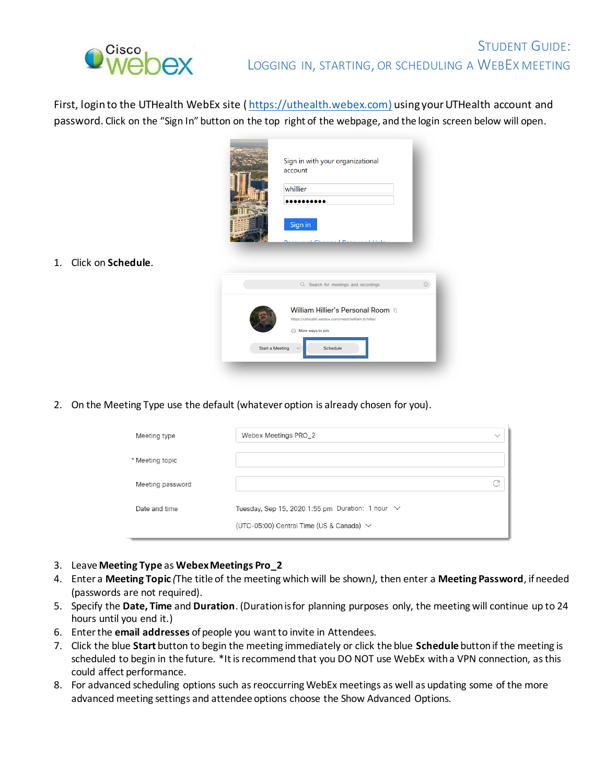

1. Click on **Schedule**.

First, login to the UTHealth WebEx site ([https://uthealth.webex.com](https://uthealth.webex.com/)) using your UTHealth account and password. Click on the "Sign In" button on the top right of the webpage, and the login screen below will open.

|                 | Sign in with your organizational<br>account                                                                          |   |
|-----------------|----------------------------------------------------------------------------------------------------------------------|---|
|                 | whillier                                                                                                             |   |
|                 | Sign in<br>11111                                                                                                     |   |
|                 |                                                                                                                      |   |
|                 | Q Search for meetings and recordings                                                                                 | ൘ |
|                 | William Hillier's Personal Room fi<br>https://uthealth.webex.com/meet/william.b.hillier<br>$\odot$ More ways to join |   |
| Start a Meeting | Schedule                                                                                                             |   |

2. On the Meeting Type use the default (whatever option is already chosen for you).

| Meeting type     | Webex Meetings PRO_2                                  |  |  |  |  |  |  |
|------------------|-------------------------------------------------------|--|--|--|--|--|--|
| * Meeting topic  |                                                       |  |  |  |  |  |  |
| Meeting password |                                                       |  |  |  |  |  |  |
| Date and time    | Tuesday, Sep 15, 2020 1:55 pm Duration: 1 hour $\vee$ |  |  |  |  |  |  |
|                  | (UTC-05:00) Central Time (US & Canada) $\vee$         |  |  |  |  |  |  |

- 3. Leave **Meeting Type** as **Webex Meetings Pro\_2**
- 4. Enter a **Meeting Topic** *(*The title of the meeting which will be shown*)*, then enter a **Meeting Password**, if needed (passwords are not required).
- 5. Specify the **Date, Time** and **Duration**. (Duration is for planning purposes only, the meeting will continue up to 24 hours until you end it.)
- 6. Enter the **email addresses** of people you want to invite in Attendees.
- 7. Click the blue **Start** button to begin the meeting immediately or click the blue **Schedule** buttonif the meeting is scheduled to begin in the future*.* \*It is recommend that you DO NOT use WebEx with a VPN connection, as this could affect performance.
- 8. For advanced scheduling options such as reoccurring WebEx meetings as well as updating some of the more advanced meeting settings and attendee options choose the Show Advanced Options.